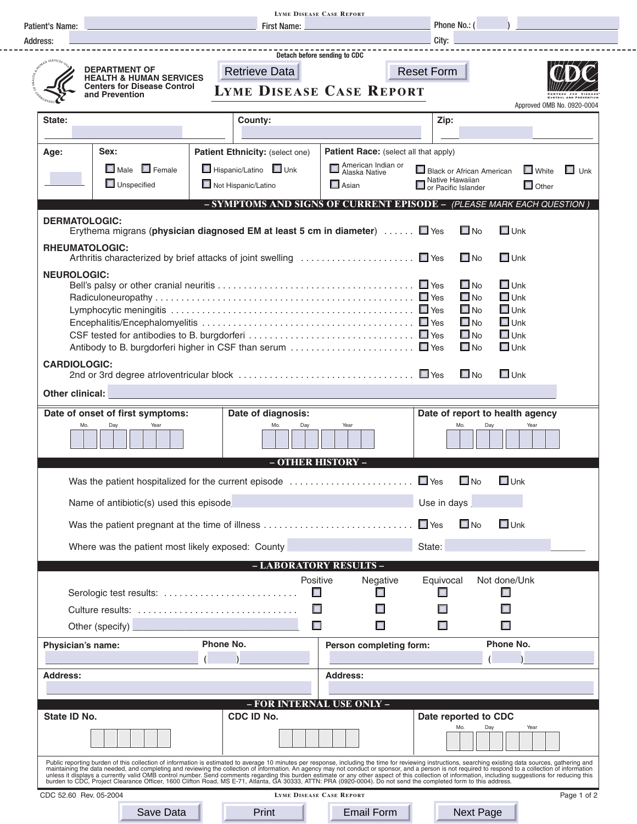|                                                                                                                                                                                                                                               | <b>LYME DISEASE CASE REPORT</b>                                                                                                                                                                                                |                                                                       |                                           |                                                                    |                     |                                              |                                 |                            |  |
|-----------------------------------------------------------------------------------------------------------------------------------------------------------------------------------------------------------------------------------------------|--------------------------------------------------------------------------------------------------------------------------------------------------------------------------------------------------------------------------------|-----------------------------------------------------------------------|-------------------------------------------|--------------------------------------------------------------------|---------------------|----------------------------------------------|---------------------------------|----------------------------|--|
| Patient's Name:                                                                                                                                                                                                                               | <b>First Name:</b>                                                                                                                                                                                                             |                                                                       |                                           |                                                                    |                     | Phone No.: (                                 |                                 |                            |  |
| Address:                                                                                                                                                                                                                                      | City:                                                                                                                                                                                                                          |                                                                       |                                           |                                                                    |                     |                                              |                                 |                            |  |
|                                                                                                                                                                                                                                               | Detach before sending to CDC<br><b>DEPARTMENT OF</b><br><b>Retrieve Data</b>                                                                                                                                                   |                                                                       |                                           |                                                                    |                     | <b>Reset Form</b>                            |                                 |                            |  |
|                                                                                                                                                                                                                                               | <b>HEALTH &amp; HUMAN SERVICES</b><br><b>Centers for Disease Control</b>                                                                                                                                                       |                                                                       |                                           |                                                                    |                     |                                              |                                 |                            |  |
|                                                                                                                                                                                                                                               | and Prevention                                                                                                                                                                                                                 |                                                                       |                                           | <b>LYME DISEASE CASE REPORT</b>                                    |                     |                                              |                                 |                            |  |
| State:                                                                                                                                                                                                                                        |                                                                                                                                                                                                                                | County:                                                               |                                           |                                                                    | Zip:                |                                              |                                 | Approved OMB No. 0920-0004 |  |
|                                                                                                                                                                                                                                               |                                                                                                                                                                                                                                |                                                                       |                                           |                                                                    |                     |                                              |                                 |                            |  |
|                                                                                                                                                                                                                                               | Sex:                                                                                                                                                                                                                           |                                                                       |                                           |                                                                    |                     |                                              |                                 |                            |  |
| Age:                                                                                                                                                                                                                                          |                                                                                                                                                                                                                                | Patient Ethnicity: (select one)                                       |                                           | <b>Patient Race:</b> (select all that apply)<br>American Indian or |                     |                                              |                                 |                            |  |
|                                                                                                                                                                                                                                               | $\Box$ Male $\Box$ Female                                                                                                                                                                                                      | Hispanic/Latino Unk                                                   |                                           | Alaska Native                                                      |                     | Black or African American<br>Native Hawaiian | $\Box$ White                    | $\Box$ Unk                 |  |
|                                                                                                                                                                                                                                               | $\Box$ Unspecified                                                                                                                                                                                                             | Not Hispanic/Latino                                                   |                                           | $\Box$ Asian                                                       | or Pacific Islander |                                              | $\Box$ Other                    |                            |  |
|                                                                                                                                                                                                                                               |                                                                                                                                                                                                                                | - SYMPTOMS AND SIGNS OF CURRENT EPISODE - (PLEASE MARK EACH QUESTION) |                                           |                                                                    |                     |                                              |                                 |                            |  |
| <b>DERMATOLOGIC:</b>                                                                                                                                                                                                                          |                                                                                                                                                                                                                                |                                                                       |                                           |                                                                    |                     |                                              |                                 |                            |  |
|                                                                                                                                                                                                                                               | Erythema migrans (physician diagnosed EM at least 5 cm in diameter)  ■ Yes                                                                                                                                                     |                                                                       |                                           |                                                                    |                     | $\square$ No                                 | $\square$ Unk                   |                            |  |
| <b>RHEUMATOLOGIC:</b>                                                                                                                                                                                                                         |                                                                                                                                                                                                                                |                                                                       |                                           |                                                                    |                     | $\square$ No                                 | $\Box$ Unk                      |                            |  |
| <b>NEUROLOGIC:</b>                                                                                                                                                                                                                            |                                                                                                                                                                                                                                |                                                                       |                                           |                                                                    |                     |                                              |                                 |                            |  |
|                                                                                                                                                                                                                                               |                                                                                                                                                                                                                                |                                                                       |                                           |                                                                    |                     | $\square$ No<br>$\square$ No                 | $\square$ Unk<br>$\Box$ Unk     |                            |  |
|                                                                                                                                                                                                                                               |                                                                                                                                                                                                                                |                                                                       |                                           |                                                                    |                     | $\square$ No                                 | $\Box$ Unk                      |                            |  |
|                                                                                                                                                                                                                                               |                                                                                                                                                                                                                                |                                                                       |                                           |                                                                    |                     | $\square$ No                                 | $\Box$ Unk                      |                            |  |
|                                                                                                                                                                                                                                               |                                                                                                                                                                                                                                |                                                                       |                                           |                                                                    |                     | $\square$ No                                 | $\square$ Unk                   |                            |  |
|                                                                                                                                                                                                                                               |                                                                                                                                                                                                                                |                                                                       |                                           |                                                                    |                     | $\square$ No                                 | $\square$ Unk                   |                            |  |
| <b>CARDIOLOGIC:</b>                                                                                                                                                                                                                           |                                                                                                                                                                                                                                |                                                                       |                                           |                                                                    |                     | $\square$ No                                 | $\Box$ Unk                      |                            |  |
| Other clinical:                                                                                                                                                                                                                               |                                                                                                                                                                                                                                |                                                                       |                                           |                                                                    |                     |                                              |                                 |                            |  |
|                                                                                                                                                                                                                                               | Date of onset of first symptoms:                                                                                                                                                                                               | Date of diagnosis:                                                    |                                           |                                                                    |                     |                                              | Date of report to health agency |                            |  |
| Mo.                                                                                                                                                                                                                                           | Day<br>Year                                                                                                                                                                                                                    | Mo                                                                    | Day                                       | Year                                                               |                     | Mo<br>Day                                    | Year                            |                            |  |
|                                                                                                                                                                                                                                               |                                                                                                                                                                                                                                |                                                                       | - OTHER HISTORY -                         |                                                                    |                     |                                              |                                 |                            |  |
|                                                                                                                                                                                                                                               | Was the patient hospitalized for the current episode $\ldots \ldots \ldots \ldots \ldots \ldots \square$ Yes                                                                                                                   |                                                                       |                                           |                                                                    | $\Box$ No           | $\square$ Unk                                |                                 |                            |  |
| Name of antibiotic(s) used this episode<br><u> and the set of antibiotic(s)</u> used this episode<br><u>Alternative and the set of the set of the set of the set of the set of the set of the set of the set of the set of the set of the</u> |                                                                                                                                                                                                                                |                                                                       |                                           |                                                                    | Use in days         |                                              |                                 |                            |  |
|                                                                                                                                                                                                                                               |                                                                                                                                                                                                                                |                                                                       |                                           |                                                                    |                     | $\square$ No                                 | $\Box$ Unk                      |                            |  |
|                                                                                                                                                                                                                                               | Where was the patient most likely exposed: County <b>Common and County</b>                                                                                                                                                     |                                                                       |                                           | State:                                                             |                     |                                              |                                 |                            |  |
|                                                                                                                                                                                                                                               |                                                                                                                                                                                                                                |                                                                       |                                           | - LABORATORY RESULTS -                                             |                     |                                              |                                 |                            |  |
|                                                                                                                                                                                                                                               |                                                                                                                                                                                                                                |                                                                       | Positive                                  | Negative                                                           | Equivocal           |                                              | Not done/Unk                    |                            |  |
|                                                                                                                                                                                                                                               | Serologic test results:                                                                                                                                                                                                        |                                                                       | $\Box$                                    | Γ                                                                  |                     |                                              |                                 |                            |  |
|                                                                                                                                                                                                                                               | Culture results:                                                                                                                                                                                                               |                                                                       | $\Box$                                    |                                                                    |                     |                                              |                                 |                            |  |
|                                                                                                                                                                                                                                               | Other (specify)                                                                                                                                                                                                                |                                                                       | $\Box$                                    | $\Box$                                                             | П                   |                                              |                                 |                            |  |
| Physician's name:                                                                                                                                                                                                                             |                                                                                                                                                                                                                                | Phone No.                                                             |                                           | Person completing form:                                            |                     |                                              | Phone No.                       |                            |  |
| <b>Address:</b>                                                                                                                                                                                                                               |                                                                                                                                                                                                                                |                                                                       |                                           | <b>Address:</b>                                                    |                     |                                              |                                 |                            |  |
|                                                                                                                                                                                                                                               |                                                                                                                                                                                                                                |                                                                       |                                           |                                                                    |                     |                                              |                                 |                            |  |
| State ID No.                                                                                                                                                                                                                                  |                                                                                                                                                                                                                                | CDC ID No.                                                            |                                           | - FOR INTERNAL USE ONLY -                                          |                     |                                              |                                 |                            |  |
|                                                                                                                                                                                                                                               |                                                                                                                                                                                                                                |                                                                       | Date reported to CDC<br>Day<br>Mo<br>Year |                                                                    |                     |                                              |                                 |                            |  |
|                                                                                                                                                                                                                                               | Public reporting burden of this collection of information is estimated to average 10 minutes per response, including the time for reviewing instructions, searching existing data sources, gathering and                       |                                                                       |                                           |                                                                    |                     |                                              |                                 |                            |  |
|                                                                                                                                                                                                                                               | response to the data needed, and completing and reviewing the collection of information. An agency may not conduct or sponsor, and a person is not required to respond to a collection of information unless it displays a cur |                                                                       |                                           |                                                                    |                     |                                              |                                 |                            |  |
| CDC 52.60 Rev. 05-2004                                                                                                                                                                                                                        |                                                                                                                                                                                                                                |                                                                       | <b>LYME DISEASE CASE REPORT</b>           |                                                                    |                     |                                              |                                 | Page 1 of 2                |  |
|                                                                                                                                                                                                                                               | Save Data                                                                                                                                                                                                                      | Print                                                                 |                                           | <b>Email Form</b>                                                  |                     | <b>Next Page</b>                             |                                 |                            |  |